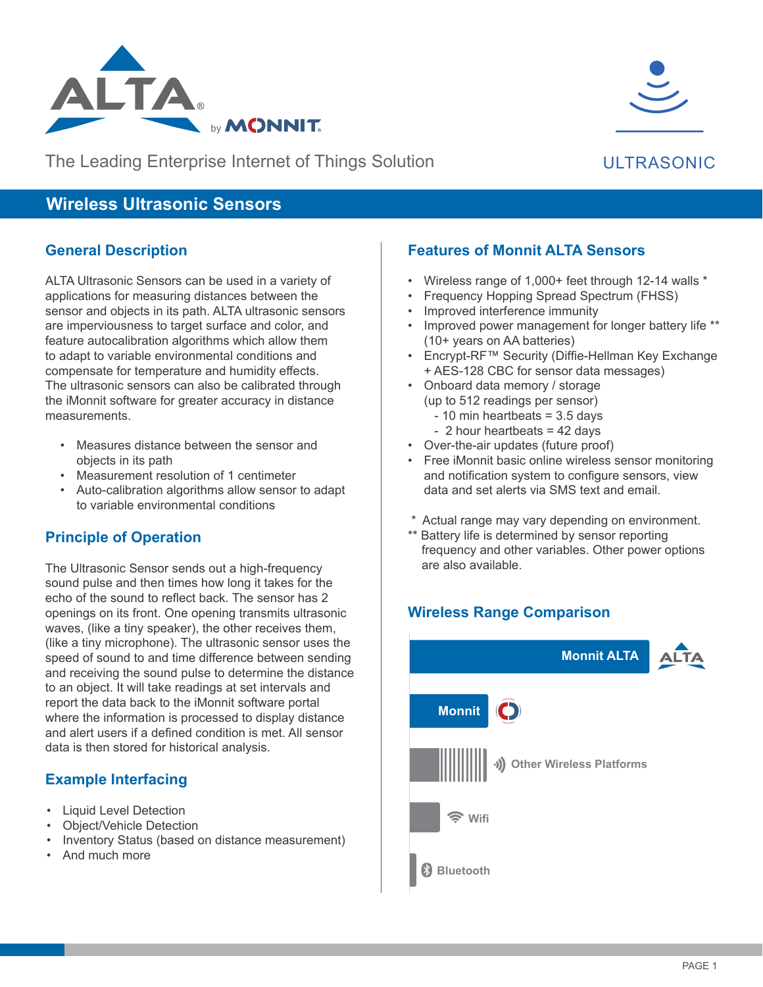

The Leading Enterprise Internet of Things Solution

## ULTRASONIC

# **Wireless Ultrasonic Sensors**

#### **General Description**

ALTA Ultrasonic Sensors can be used in a variety of applications for measuring distances between the sensor and objects in its path. ALTA ultrasonic sensors are imperviousness to target surface and color, and feature autocalibration algorithms which allow them to adapt to variable environmental conditions and compensate for temperature and humidity effects. The ultrasonic sensors can also be calibrated through the iMonnit software for greater accuracy in distance measurements.

- Measures distance between the sensor and objects in its path
- Measurement resolution of 1 centimeter
- Auto-calibration algorithms allow sensor to adapt to variable environmental conditions

### **Principle of Operation**

The Ultrasonic Sensor sends out a high-frequency sound pulse and then times how long it takes for the echo of the sound to reflect back. The sensor has 2 openings on its front. One opening transmits ultrasonic waves, (like a tiny speaker), the other receives them, (like a tiny microphone). The ultrasonic sensor uses the speed of sound to and time difference between sending and receiving the sound pulse to determine the distance to an object. It will take readings at set intervals and report the data back to the iMonnit software portal where the information is processed to display distance and alert users if a defined condition is met. All sensor data is then stored for historical analysis.

### **Example Interfacing**

- Liquid Level Detection
- Object/Vehicle Detection
- Inventory Status (based on distance measurement)
- And much more

#### **Features of Monnit ALTA Sensors**

- Wireless range of 1,000+ feet through 12-14 walls \*
- Frequency Hopping Spread Spectrum (FHSS)
- Improved interference immunity
- Improved power management for longer battery life \*\* (10+ years on AA batteries)
- Encrypt-RF™ Security (Diffie-Hellman Key Exchange + AES-128 CBC for sensor data messages)
- Onboard data memory / storage (up to 512 readings per sensor)  $-10$  min heartbeats = 3.5 days
	- 2 hour heartbeats = 42 days
- Over-the-air updates (future proof)
- Free iMonnit basic online wireless sensor monitoring and notification system to configure sensors, view data and set alerts via SMS text and email.
- \* Actual range may vary depending on environment.
- \*\* Battery life is determined by sensor reporting frequency and other variables. Other power options are also available.

# **Wireless Range Comparison Wireless Range Comparison**

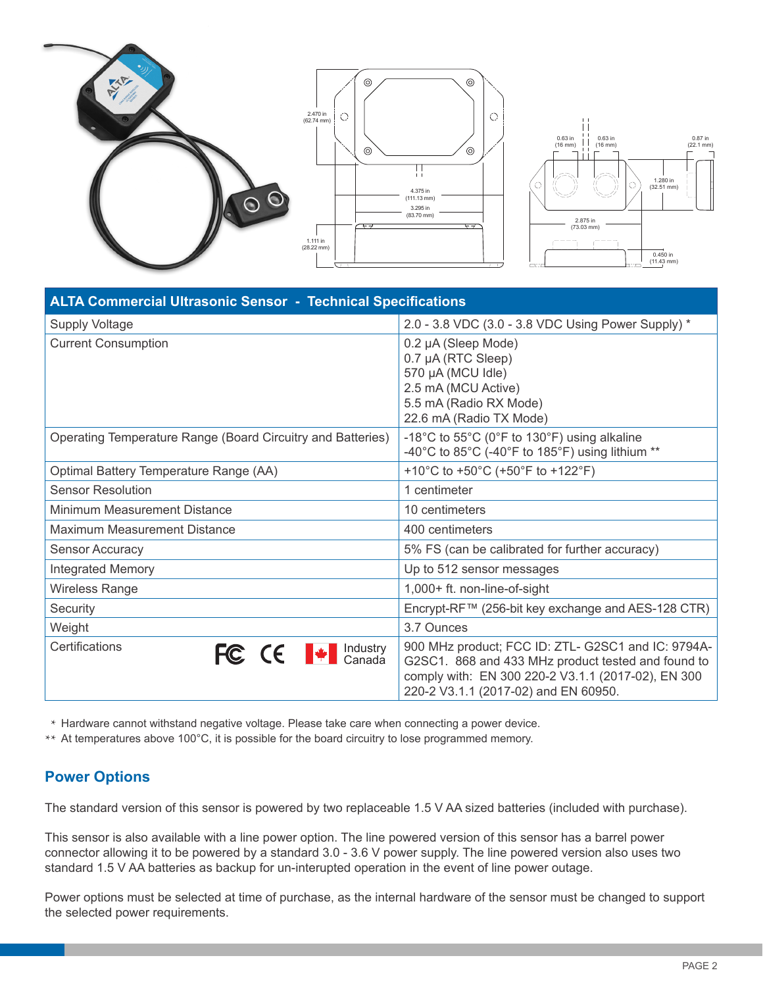

| <b>ALTA Commercial Ultrasonic Sensor - Technical Specifications</b> |                                                                                                                                                                                                        |  |
|---------------------------------------------------------------------|--------------------------------------------------------------------------------------------------------------------------------------------------------------------------------------------------------|--|
| <b>Supply Voltage</b>                                               | 2.0 - 3.8 VDC (3.0 - 3.8 VDC Using Power Supply) *                                                                                                                                                     |  |
| <b>Current Consumption</b>                                          | 0.2 µA (Sleep Mode)<br>0.7 µA (RTC Sleep)<br>570 µA (MCU Idle)<br>2.5 mA (MCU Active)<br>5.5 mA (Radio RX Mode)<br>22.6 mA (Radio TX Mode)                                                             |  |
| Operating Temperature Range (Board Circuitry and Batteries)         | -18°C to $55^{\circ}$ C (0°F to 130°F) using alkaline<br>-40°C to 85°C (-40°F to 185°F) using lithium **                                                                                               |  |
| Optimal Battery Temperature Range (AA)                              | +10°C to +50°C (+50°F to +122°F)                                                                                                                                                                       |  |
| <b>Sensor Resolution</b>                                            | 1 centimeter                                                                                                                                                                                           |  |
| Minimum Measurement Distance                                        | 10 centimeters                                                                                                                                                                                         |  |
| Maximum Measurement Distance                                        | 400 centimeters                                                                                                                                                                                        |  |
| <b>Sensor Accuracy</b>                                              | 5% FS (can be calibrated for further accuracy)                                                                                                                                                         |  |
| <b>Integrated Memory</b>                                            | Up to 512 sensor messages                                                                                                                                                                              |  |
| Wireless Range                                                      | 1,000+ ft. non-line-of-sight                                                                                                                                                                           |  |
| Security                                                            | Encrypt-RF™ (256-bit key exchange and AES-128 CTR)                                                                                                                                                     |  |
| Weight                                                              | 3.7 Ounces                                                                                                                                                                                             |  |
| Certifications<br>FC CE <sup>W</sup> Canada                         | 900 MHz product; FCC ID: ZTL- G2SC1 and IC: 9794A-<br>G2SC1. 868 and 433 MHz product tested and found to<br>comply with: EN 300 220-2 V3.1.1 (2017-02), EN 300<br>220-2 V3.1.1 (2017-02) and EN 60950. |  |

\* Hardware cannot withstand negative voltage. Please take care when connecting a power device.

\*\* At temperatures above 100°C, it is possible for the board circuitry to lose programmed memory.

#### **Power Options**

The standard version of this sensor is powered by two replaceable 1.5 V AA sized batteries (included with purchase).

This sensor is also available with a line power option. The line powered version of this sensor has a barrel power connector allowing it to be powered by a standard 3.0 - 3.6 V power supply. The line powered version also uses two standard 1.5 V AA batteries as backup for un-interupted operation in the event of line power outage.

Power options must be selected at time of purchase, as the internal hardware of the sensor must be changed to support the selected power requirements.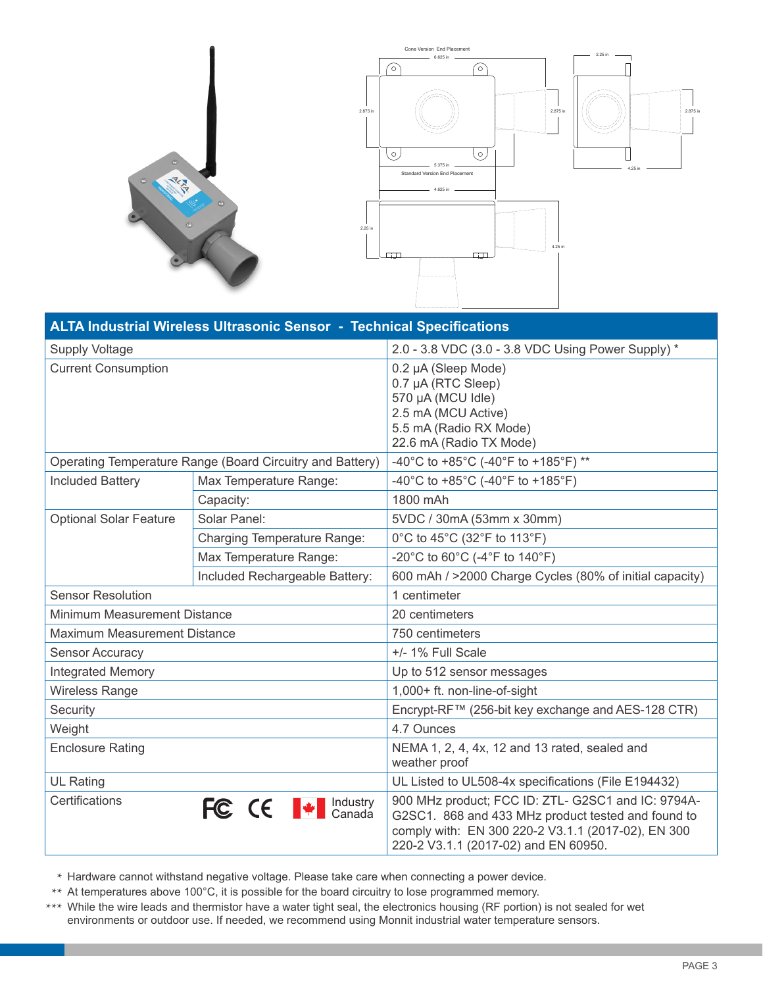



| ALTA Industrial Wireless Ultrasonic Sensor - Technical Specifications |                                |                                                                                                                                                                                                        |
|-----------------------------------------------------------------------|--------------------------------|--------------------------------------------------------------------------------------------------------------------------------------------------------------------------------------------------------|
| <b>Supply Voltage</b>                                                 |                                | 2.0 - 3.8 VDC (3.0 - 3.8 VDC Using Power Supply) *                                                                                                                                                     |
| <b>Current Consumption</b>                                            |                                | 0.2 µA (Sleep Mode)<br>0.7 µA (RTC Sleep)<br>570 µA (MCU Idle)<br>2.5 mA (MCU Active)<br>5.5 mA (Radio RX Mode)<br>22.6 mA (Radio TX Mode)                                                             |
| Operating Temperature Range (Board Circuitry and Battery)             |                                | -40°C to +85°C (-40°F to +185°F) **                                                                                                                                                                    |
| <b>Included Battery</b>                                               | Max Temperature Range:         | -40°C to +85°C (-40°F to +185°F)                                                                                                                                                                       |
|                                                                       | Capacity:                      | 1800 mAh                                                                                                                                                                                               |
| <b>Optional Solar Feature</b>                                         | Solar Panel:                   | 5VDC / 30mA (53mm x 30mm)                                                                                                                                                                              |
|                                                                       | Charging Temperature Range:    | 0°C to 45°C (32°F to 113°F)                                                                                                                                                                            |
|                                                                       | Max Temperature Range:         | -20°C to 60°C (-4°F to 140°F)                                                                                                                                                                          |
|                                                                       | Included Rechargeable Battery: | 600 mAh / >2000 Charge Cycles (80% of initial capacity)                                                                                                                                                |
| <b>Sensor Resolution</b>                                              |                                | 1 centimeter                                                                                                                                                                                           |
| Minimum Measurement Distance                                          |                                | 20 centimeters                                                                                                                                                                                         |
| <b>Maximum Measurement Distance</b>                                   |                                | 750 centimeters                                                                                                                                                                                        |
| <b>Sensor Accuracy</b>                                                |                                | +/- 1% Full Scale                                                                                                                                                                                      |
| <b>Integrated Memory</b>                                              |                                | Up to 512 sensor messages                                                                                                                                                                              |
| <b>Wireless Range</b>                                                 |                                | 1,000+ ft. non-line-of-sight                                                                                                                                                                           |
| Security                                                              |                                | Encrypt-RF™ (256-bit key exchange and AES-128 CTR)                                                                                                                                                     |
| Weight                                                                |                                | 4.7 Ounces                                                                                                                                                                                             |
| <b>Enclosure Rating</b>                                               |                                | NEMA 1, 2, 4, 4x, 12 and 13 rated, sealed and<br>weather proof                                                                                                                                         |
| <b>UL Rating</b>                                                      |                                | UL Listed to UL508-4x specifications (File E194432)                                                                                                                                                    |
| Certifications                                                        | FC CE + Canada                 | 900 MHz product; FCC ID: ZTL- G2SC1 and IC: 9794A-<br>G2SC1. 868 and 433 MHz product tested and found to<br>comply with: EN 300 220-2 V3.1.1 (2017-02), EN 300<br>220-2 V3.1.1 (2017-02) and EN 60950. |

\* Hardware cannot withstand negative voltage. Please take care when connecting a power device.

\*\* At temperatures above 100°C, it is possible for the board circuitry to lose programmed memory.

\*\*\* While the wire leads and thermistor have a water tight seal, the electronics housing (RF portion) is not sealed for wet environments or outdoor use. If needed, we recommend using Monnit industrial water temperature sensors.